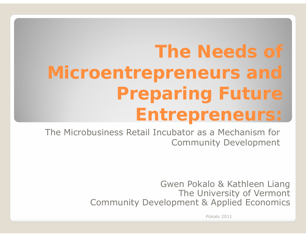# **The Needs of** Microentrepreneurs and **Preparing Future Entrepreneurs:**

The Microbusiness Retail Incubator as a Mechanism for **Community Development** 

> Gwen Pokalo & Kathleen Liang The University of Vermont **Community Development & Applied Economics**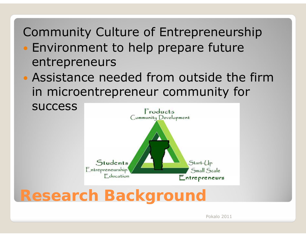### Community Culture of Entrepreneurship

- Environment to help prepare future entrepreneurs
- Assistance needed from outside the firm in microentrepreneur community for



**Research Background**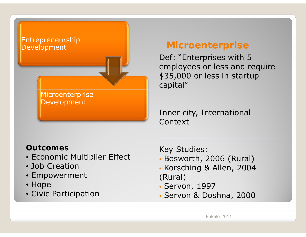

### **Microenterprise**

Def: "Enterprises with 5 employees or less and require \$35,000 or less in startup capital"

Inner city, International Context

#### **Outcomes**

- Economic Multiplier Effect
- Job Creation
- Empowerment
- Hope
- Civic Participation

Key Studies:

- Bosworth, 2006 (Rural)
- Korsching & Allen, 2004 (Rural)
- Servon, 1997
- Servon & Doshna, 2000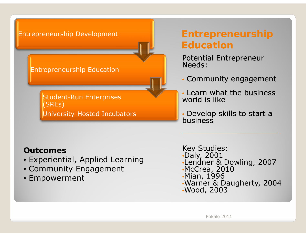#### Entrepreneurship Development

#### Entrepreneurship Education

Student-Run Enterprises (SREs) University-Hosted Incubators

### **Entrepreneurship Education**

Potential Entrepreneur<br>Needs:

- Community engagement
- Learn what the business world is like
- Develop skills to start a<br>business business

#### **Outcomes**

- Experiential, Applied Learning
- Community Engagement
- $\bullet$  Empowerment
- Key Studies: •Daly, 2001 •Lendner & Dowling, 2007 •McCrea, 2010 Mian 1996 •Mian, •Warner & Daugherty, 2004 •Wood, 2003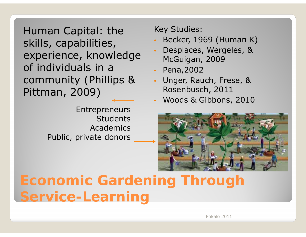Human Capital: the skills, capabilities, experience, knowledge experience, knowledge besplaces, Wergeles, & experience, knowledge besplaces, Wergeles, & community (Phillips & Pittman, 2009) Rosenbusch, 201

> Entrepreneurs **Students Academics** Public, private donors

Key Studies:

- •Becker, 1969 (Human K)
- •McGuigan, 2009
- •Pena,2002
- • Unger, Rauch, Frese, & Rosenbusch, 2011
- •Woods & Gibbons, 2010



## **Economic Gardening Through Service Service-Learning Learning**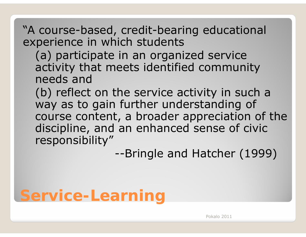### "A course-based, credit-bearing educational experience in which students

- (a) participate in an organized service activity that meets identified community needs and
- $(b)$  reflect on the service activity in such a way as to gain further understanding of course content, a broader appreciation of the discipline, and an enhanced sense of civic responsibility"

--Bringle and Hatcher (1999)

# **Service Service-Learning Learning**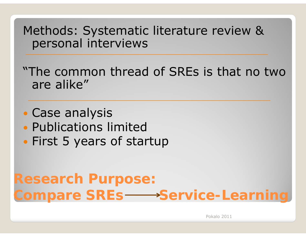Methods: Systematic literature review & personal interviews

"The common thread of SREs is that no two are alike"

- Case analysis Publications limited
- First 5 years of startup

## **R h P Research Purpose: Compare SREs ––Service-Learning**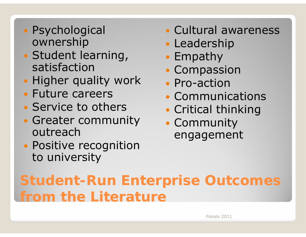- Psychological ownership
- Student learning, satisfaction
- Higher quality work
- Future careers
- Service to others
- Greater community outreach
- Positive recognition to university
- Cultural awareness
- Leadership
- Empathy
- Compassion
- Pro-action
- Communications
- Critical thinking
- Community engagement

## **Student-Run Enterprise Outcomes** from the Literature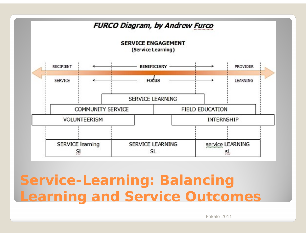

## **Service-Learning: Balancing Learning and Service Outcomes**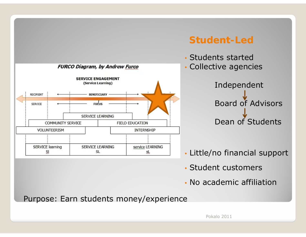

### **Student Student-Led**



- Little/no financial support
- Student customers
- No academic affiliation

Purpose: Earn students money/experience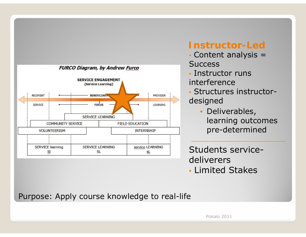

### **Instructor Instructor-Led**

- Content analysis = **Success**
- Instructor runs interference
- Structures instructordesigned
	- Deliverables, learning outcomes pre-determined

Students servicedeliverers

• Limited Stakes

Purpose: Apply course knowledge to real-life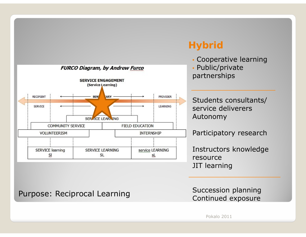

### **Hybrid**

• Cooperative learning

• Public/private partnerships

Students consultants/ service deliverersAutonomy

Participatory research

Instructors knowledge resourceJIT learning

Purpose: Reciprocal Learning<br>Continued exposure

Succession planning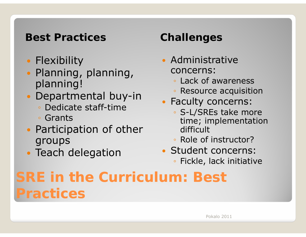### **Best Practices Challenges**

- Flexibility
- $\bullet$ • Planning, planning, planning!
- $\bullet$  Departmental buy-in
	- Dedicate staff-time
	- Grants
- $\bullet$ • Participation of other groups
- $\bullet$ • Teach delegation

- Administrative concerns:
	- Lack of awareness
	- Resource acquisition
- $\bullet$  Faculty concerns:
	- S-L/SREs take more time; implementation difficult
	- Role of instructor?
- Student concerns:
	- Fickle, lack initiative

# **SRE in the Curriculum: Best Practices**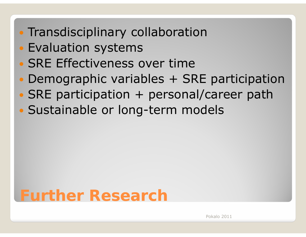- Transdisciplinary collaboration
- Evaluation systems
- SRE Effectiveness over time
- Demographic variables + SRE participation
- $\bullet$  $\bullet$  SRE participation + personal/career path
- $\bullet$ Sustainable or long-term models

# **Further Research**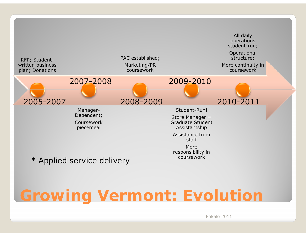

# **Growing Vermont: Evolution**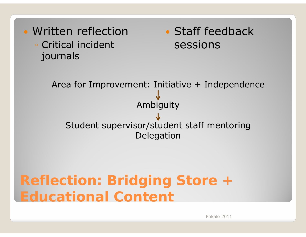

### **R fl ti B id i St Reflection: Bridging Store <sup>+</sup> Educational Content**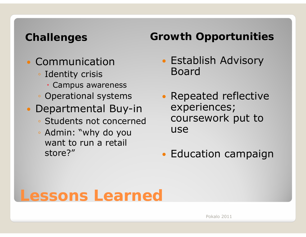- Communication
	- Identity crisis
		- Campus awareness
	- Operational systems
- $\bullet$  Departmental Buy-in
	- $\,\circ\,$  Students not concerned
	- Admin: "why do you want to run a retail store?"

### **Challenges Growth Opportunities**

- Establish Advisory Board
- $\bullet$ • Repeated reflective experiences; • Students not concerned coursework put to use
	- Education campaign

### **Lessons Learned**